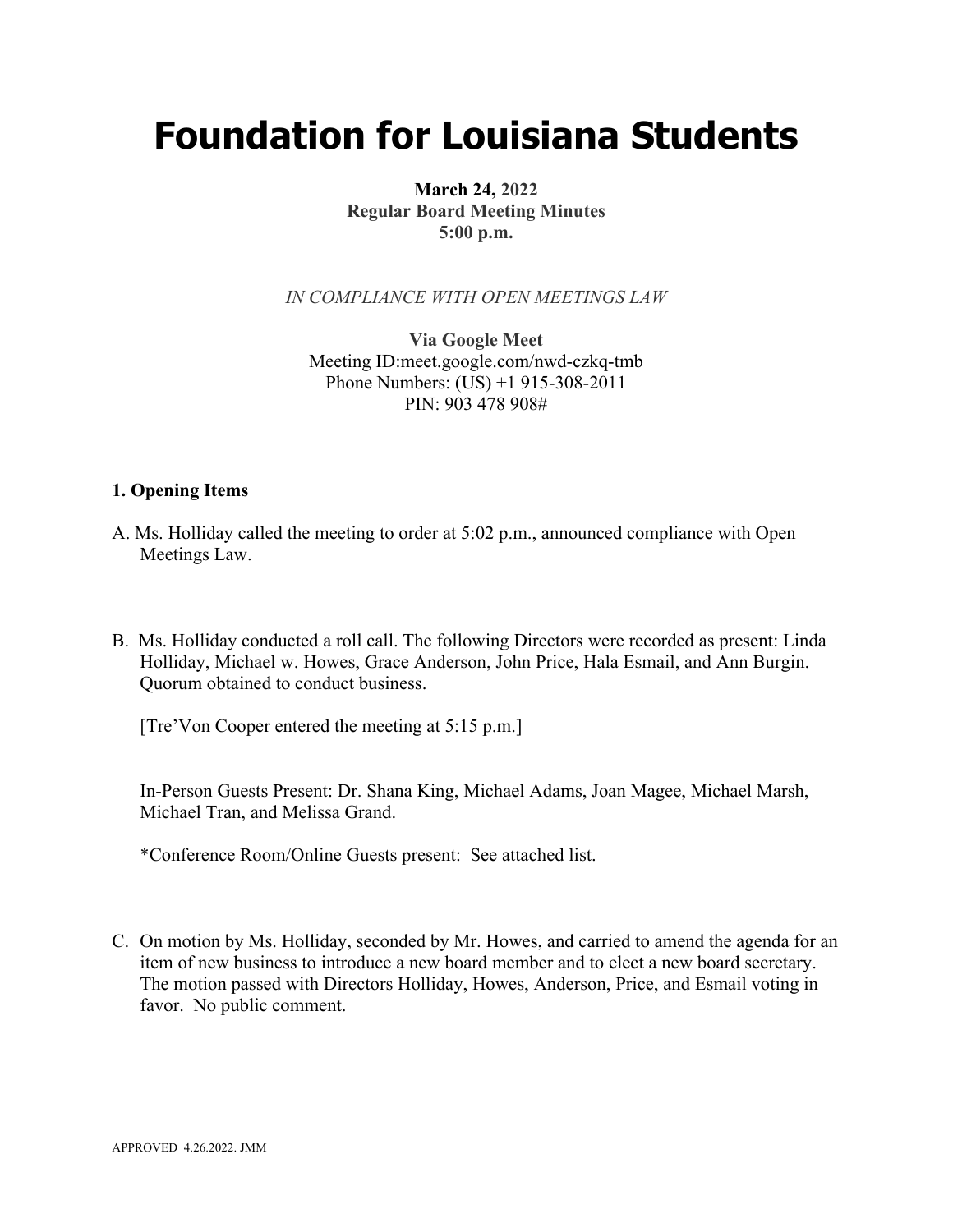# **Foundation for Louisiana Students**

## **March 24, 2022 Regular Board Meeting Minutes 5:00 p.m.**

*IN COMPLIANCE WITH OPEN MEETINGS LAW*

**Via Google Meet**  Meeting ID:meet.google.com/nwd-czkq-tmb Phone Numbers: (US) +1 915-308-2011 PIN: 903 478 908#

### **1. Opening Items**

- A. Ms. Holliday called the meeting to order at 5:02 p.m., announced compliance with Open Meetings Law.
- B. Ms. Holliday conducted a roll call. The following Directors were recorded as present: Linda Holliday, Michael w. Howes, Grace Anderson, John Price, Hala Esmail, and Ann Burgin. Quorum obtained to conduct business.

[Tre'Von Cooper entered the meeting at 5:15 p.m.]

In-Person Guests Present: Dr. Shana King, Michael Adams, Joan Magee, Michael Marsh, Michael Tran, and Melissa Grand.

\*Conference Room/Online Guests present: See attached list.

C. On motion by Ms. Holliday, seconded by Mr. Howes, and carried to amend the agenda for an item of new business to introduce a new board member and to elect a new board secretary. The motion passed with Directors Holliday, Howes, Anderson, Price, and Esmail voting in favor. No public comment.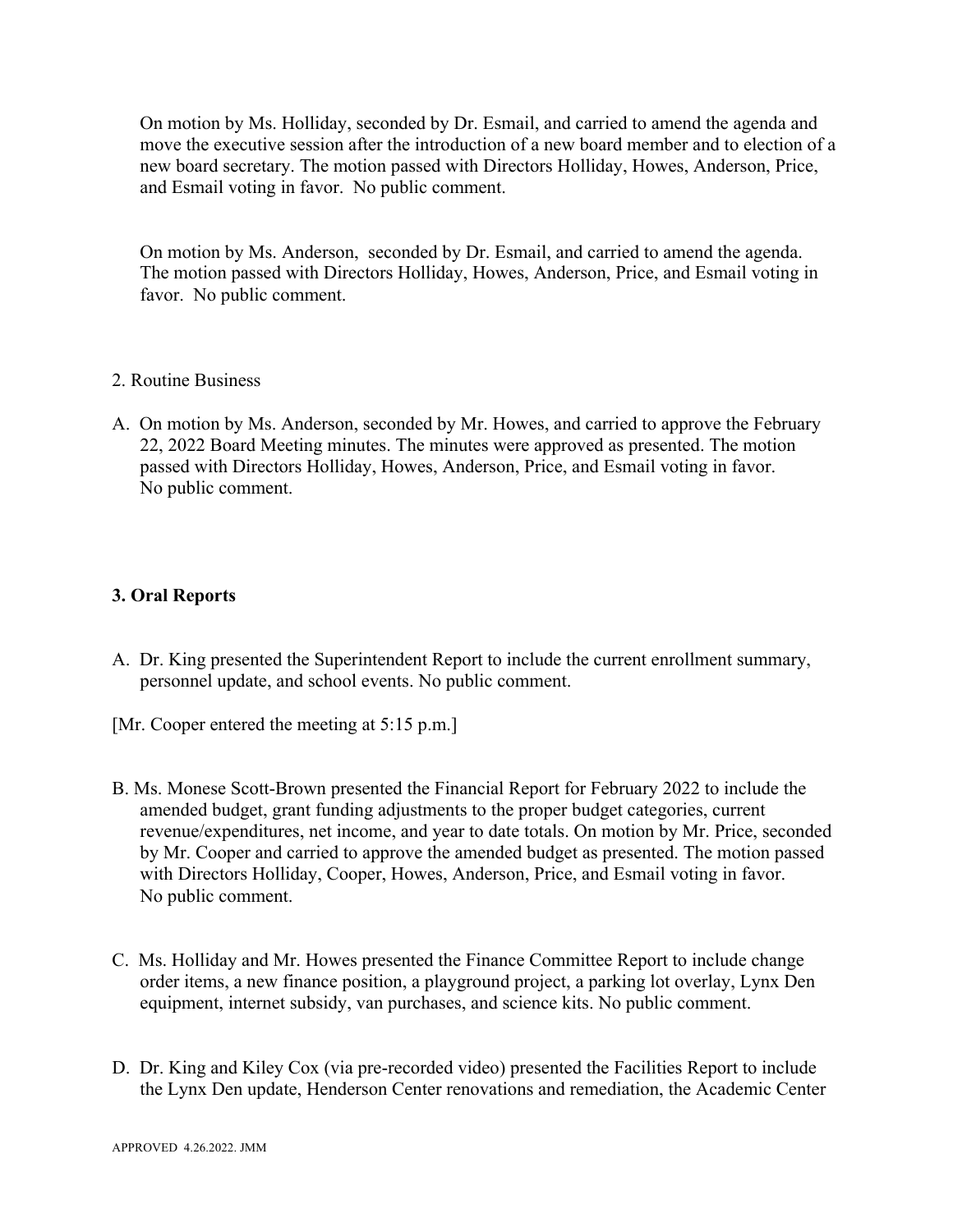On motion by Ms. Holliday, seconded by Dr. Esmail, and carried to amend the agenda and move the executive session after the introduction of a new board member and to election of a new board secretary. The motion passed with Directors Holliday, Howes, Anderson, Price, and Esmail voting in favor. No public comment.

On motion by Ms. Anderson, seconded by Dr. Esmail, and carried to amend the agenda. The motion passed with Directors Holliday, Howes, Anderson, Price, and Esmail voting in favor. No public comment.

- 2. Routine Business
- A. On motion by Ms. Anderson, seconded by Mr. Howes, and carried to approve the February 22, 2022 Board Meeting minutes. The minutes were approved as presented. The motion passed with Directors Holliday, Howes, Anderson, Price, and Esmail voting in favor. No public comment.

## **3. Oral Reports**

- A. Dr. King presented the Superintendent Report to include the current enrollment summary, personnel update, and school events. No public comment.
- [Mr. Cooper entered the meeting at 5:15 p.m.]
- B. Ms. Monese Scott-Brown presented the Financial Report for February 2022 to include the amended budget, grant funding adjustments to the proper budget categories, current revenue/expenditures, net income, and year to date totals. On motion by Mr. Price, seconded by Mr. Cooper and carried to approve the amended budget as presented. The motion passed with Directors Holliday, Cooper, Howes, Anderson, Price, and Esmail voting in favor. No public comment.
- C. Ms. Holliday and Mr. Howes presented the Finance Committee Report to include change order items, a new finance position, a playground project, a parking lot overlay, Lynx Den equipment, internet subsidy, van purchases, and science kits. No public comment.
- D. Dr. King and Kiley Cox (via pre-recorded video) presented the Facilities Report to include the Lynx Den update, Henderson Center renovations and remediation, the Academic Center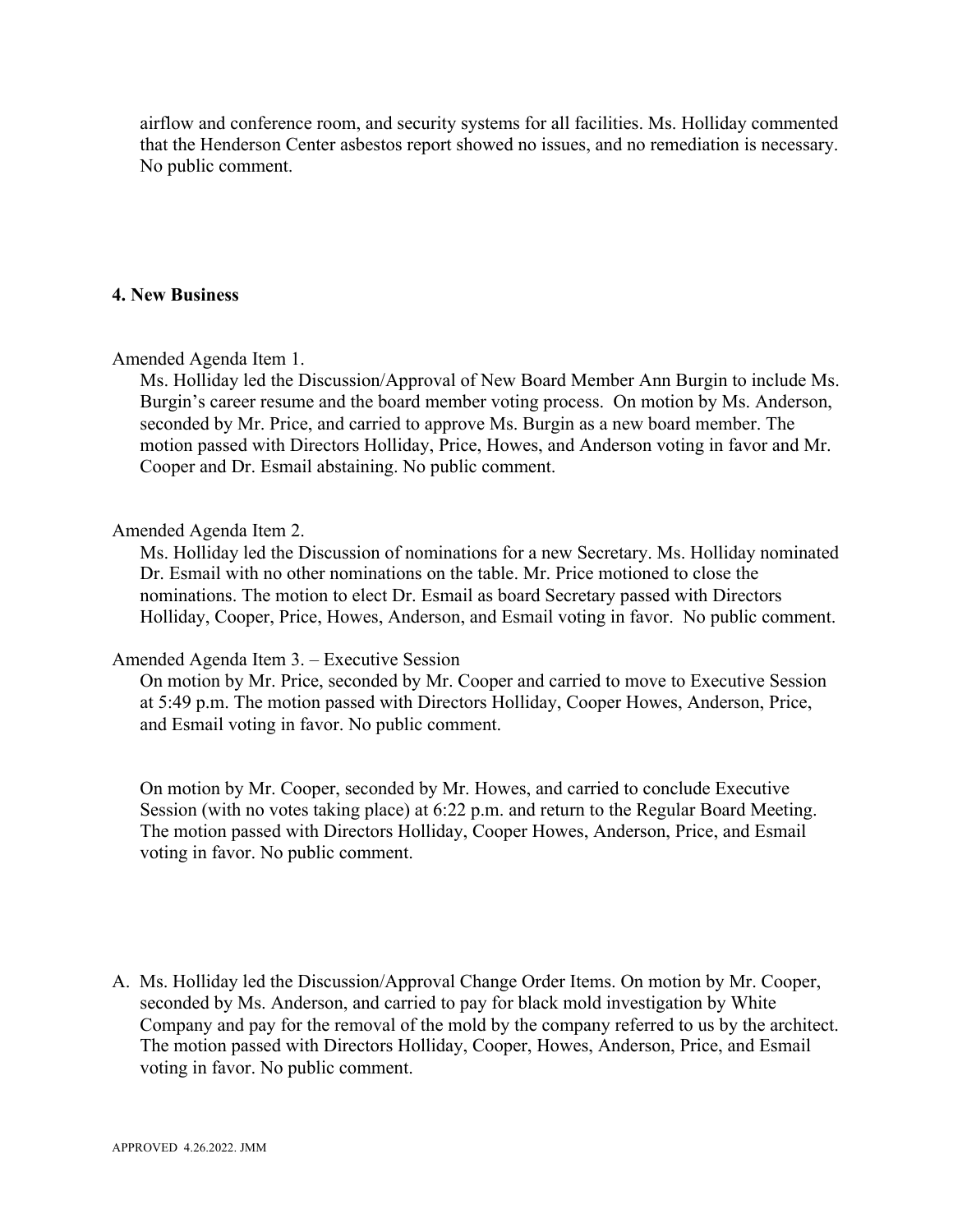airflow and conference room, and security systems for all facilities. Ms. Holliday commented that the Henderson Center asbestos report showed no issues, and no remediation is necessary. No public comment.

#### **4. New Business**

#### Amended Agenda Item 1.

Ms. Holliday led the Discussion/Approval of New Board Member Ann Burgin to include Ms. Burgin's career resume and the board member voting process. On motion by Ms. Anderson, seconded by Mr. Price, and carried to approve Ms. Burgin as a new board member. The motion passed with Directors Holliday, Price, Howes, and Anderson voting in favor and Mr. Cooper and Dr. Esmail abstaining. No public comment.

#### Amended Agenda Item 2.

Ms. Holliday led the Discussion of nominations for a new Secretary. Ms. Holliday nominated Dr. Esmail with no other nominations on the table. Mr. Price motioned to close the nominations. The motion to elect Dr. Esmail as board Secretary passed with Directors Holliday, Cooper, Price, Howes, Anderson, and Esmail voting in favor. No public comment.

#### Amended Agenda Item 3. – Executive Session

On motion by Mr. Price, seconded by Mr. Cooper and carried to move to Executive Session at 5:49 p.m. The motion passed with Directors Holliday, Cooper Howes, Anderson, Price, and Esmail voting in favor. No public comment.

On motion by Mr. Cooper, seconded by Mr. Howes, and carried to conclude Executive Session (with no votes taking place) at 6:22 p.m. and return to the Regular Board Meeting. The motion passed with Directors Holliday, Cooper Howes, Anderson, Price, and Esmail voting in favor. No public comment.

A. Ms. Holliday led the Discussion/Approval Change Order Items. On motion by Mr. Cooper, seconded by Ms. Anderson, and carried to pay for black mold investigation by White Company and pay for the removal of the mold by the company referred to us by the architect. The motion passed with Directors Holliday, Cooper, Howes, Anderson, Price, and Esmail voting in favor. No public comment.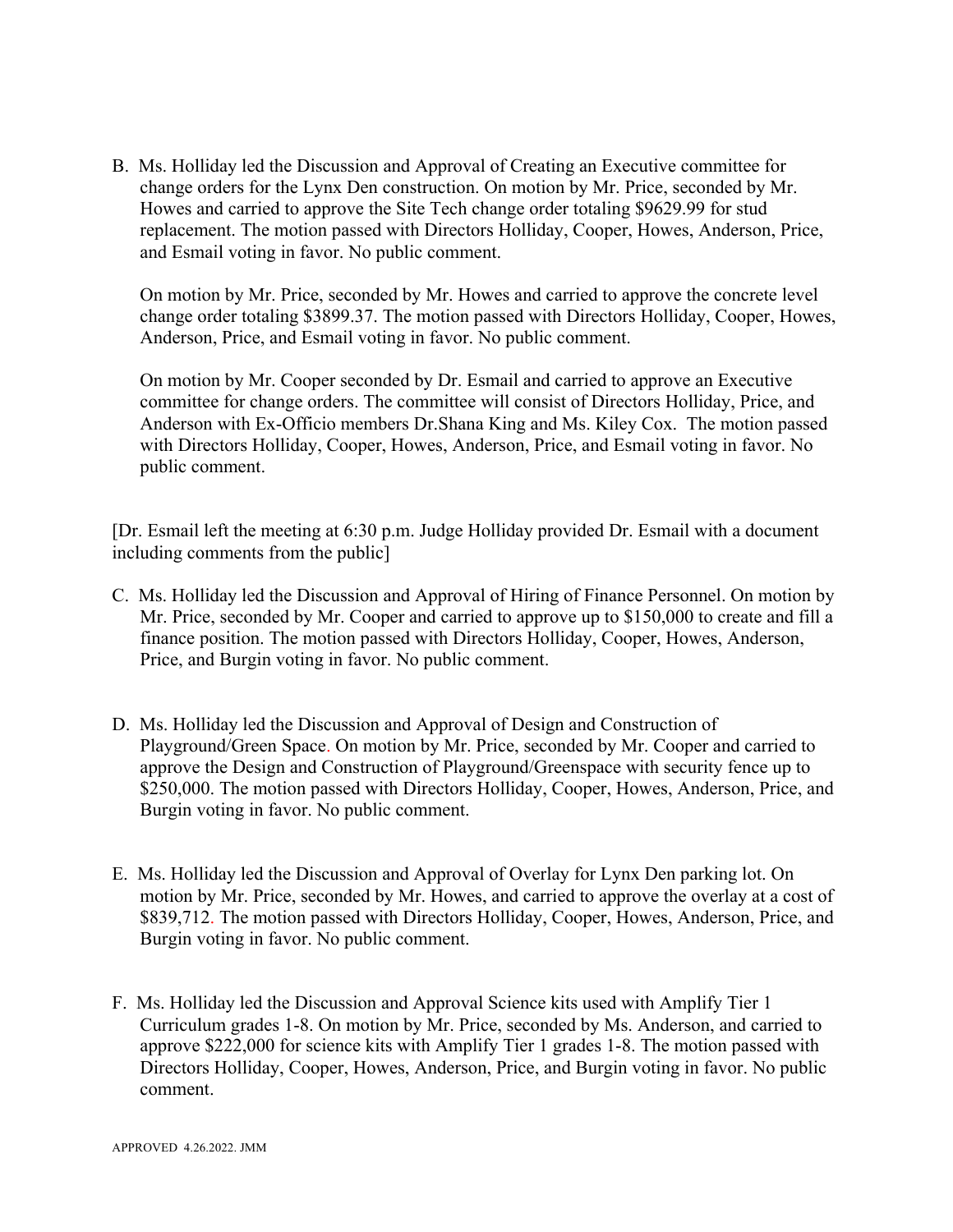B. Ms. Holliday led the Discussion and Approval of Creating an Executive committee for change orders for the Lynx Den construction. On motion by Mr. Price, seconded by Mr. Howes and carried to approve the Site Tech change order totaling \$9629.99 for stud replacement. The motion passed with Directors Holliday, Cooper, Howes, Anderson, Price, and Esmail voting in favor. No public comment.

On motion by Mr. Price, seconded by Mr. Howes and carried to approve the concrete level change order totaling \$3899.37. The motion passed with Directors Holliday, Cooper, Howes, Anderson, Price, and Esmail voting in favor. No public comment.

On motion by Mr. Cooper seconded by Dr. Esmail and carried to approve an Executive committee for change orders. The committee will consist of Directors Holliday, Price, and Anderson with Ex-Officio members Dr.Shana King and Ms. Kiley Cox. The motion passed with Directors Holliday, Cooper, Howes, Anderson, Price, and Esmail voting in favor. No public comment.

[Dr. Esmail left the meeting at 6:30 p.m. Judge Holliday provided Dr. Esmail with a document including comments from the public]

- C. Ms. Holliday led the Discussion and Approval of Hiring of Finance Personnel. On motion by Mr. Price, seconded by Mr. Cooper and carried to approve up to \$150,000 to create and fill a finance position. The motion passed with Directors Holliday, Cooper, Howes, Anderson, Price, and Burgin voting in favor. No public comment.
- D. Ms. Holliday led the Discussion and Approval of Design and Construction of Playground/Green Space. On motion by Mr. Price, seconded by Mr. Cooper and carried to approve the Design and Construction of Playground/Greenspace with security fence up to \$250,000. The motion passed with Directors Holliday, Cooper, Howes, Anderson, Price, and Burgin voting in favor. No public comment.
- E. Ms. Holliday led the Discussion and Approval of Overlay for Lynx Den parking lot. On motion by Mr. Price, seconded by Mr. Howes, and carried to approve the overlay at a cost of \$839,712. The motion passed with Directors Holliday, Cooper, Howes, Anderson, Price, and Burgin voting in favor. No public comment.
- F. Ms. Holliday led the Discussion and Approval Science kits used with Amplify Tier 1 Curriculum grades 1-8. On motion by Mr. Price, seconded by Ms. Anderson, and carried to approve \$222,000 for science kits with Amplify Tier 1 grades 1-8. The motion passed with Directors Holliday, Cooper, Howes, Anderson, Price, and Burgin voting in favor. No public comment.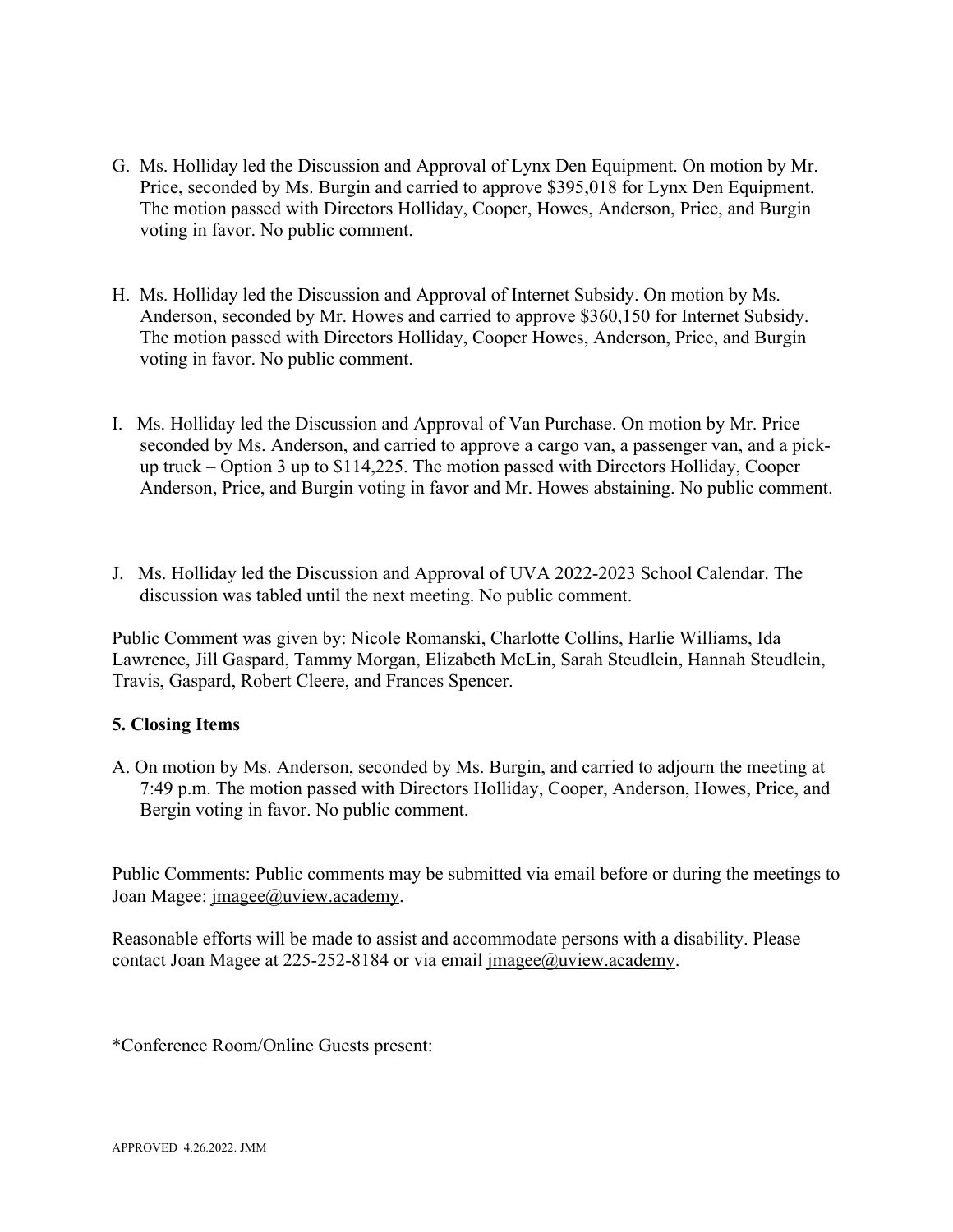- G. Ms. Holliday led the Discussion and Approval of Lynx Den Equipment. On motion by Mr. Price, seconded by Ms. Burgin and carried to approve \$395,018 for Lynx Den Equipment. The motion passed with Directors Holliday, Cooper, Howes, Anderson, Price, and Burgin voting in favor. No public comment.
- H. Ms. Holliday led the Discussion and Approval of Internet Subsidy. On motion by Ms. Anderson, seconded by Mr. Howes and carried to approve \$360,150 for Internet Subsidy. The motion passed with Directors Holliday, Cooper Howes, Anderson, Price, and Burgin voting in favor. No public comment.
- I. Ms. Holliday led the Discussion and Approval of Van Purchase. On motion by Mr. Price seconded by Ms. Anderson, and carried to approve a cargo van, a passenger van, and a pickup truck – Option 3 up to \$114,225. The motion passed with Directors Holliday, Cooper Anderson, Price, and Burgin voting in favor and Mr. Howes abstaining. No public comment.
- J. Ms. Holliday led the Discussion and Approval of UVA 2022-2023 School Calendar. The discussion was tabled until the next meeting. No public comment.

Public Comment was given by: Nicole Romanski, Charlotte Collins, Harlie Williams, Ida Lawrence, Jill Gaspard, Tammy Morgan, Elizabeth McLin, Sarah Steudlein, Hannah Steudlein, Travis, Gaspard, Robert Cleere, and Frances Spencer.

### **5. Closing Items**

A. On motion by Ms. Anderson, seconded by Ms. Burgin, and carried to adjourn the meeting at 7:49 p.m. The motion passed with Directors Holliday, Cooper, Anderson, Howes, Price, and Bergin voting in favor. No public comment.

Public Comments: Public comments may be submitted via email before or during the meetings to Joan Magee: jmagee@uview.academy.

Reasonable efforts will be made to assist and accommodate persons with a disability. Please contact Joan Magee at 225-252-8184 or via email jmagee@uview.academy.

\*Conference Room/Online Guests present: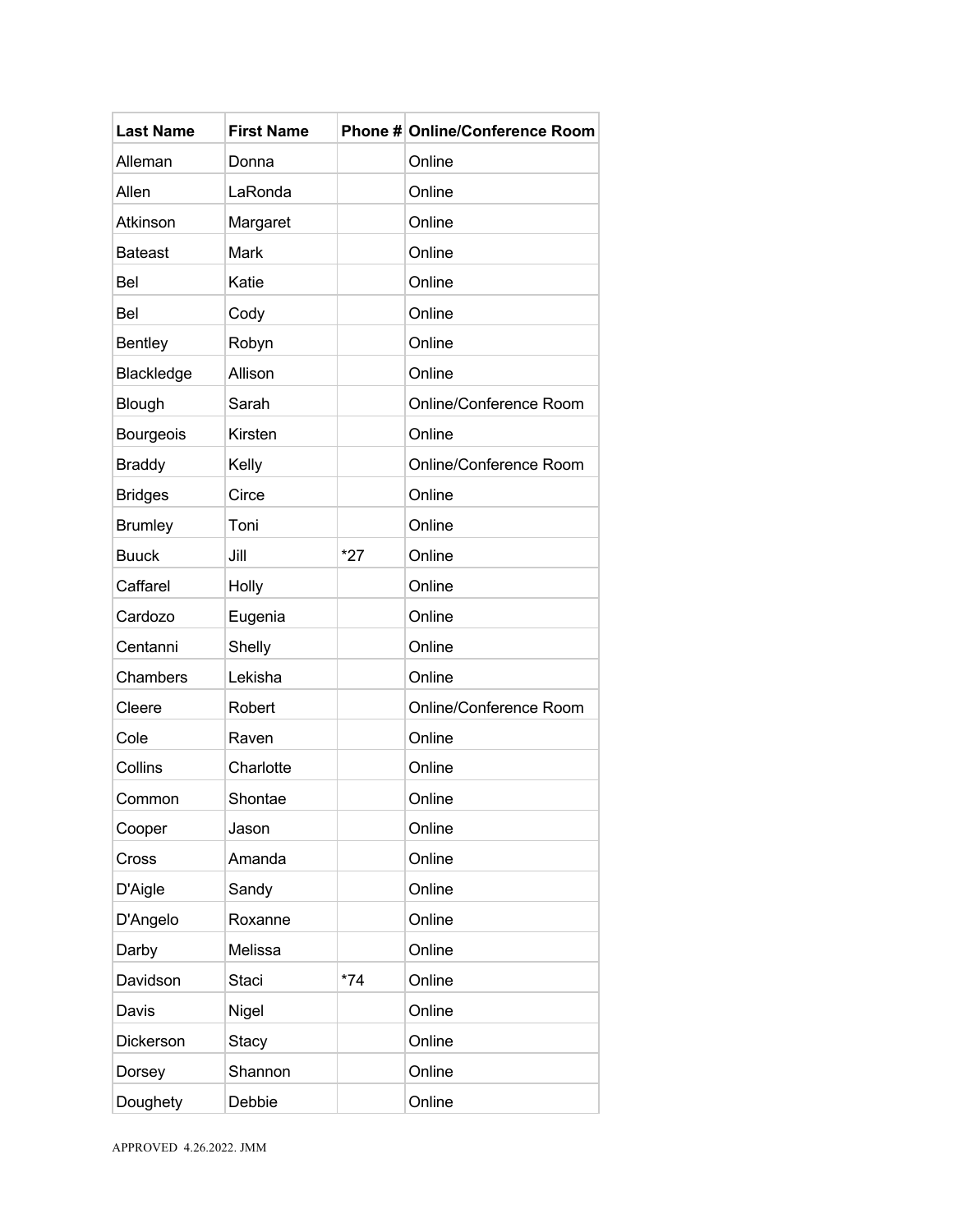| <b>Last Name</b> | <b>First Name</b> |       | Phone # Online/Conference Room |
|------------------|-------------------|-------|--------------------------------|
| Alleman          | Donna             |       | Online                         |
| Allen            | LaRonda           |       | Online                         |
| Atkinson         | Margaret          |       | Online                         |
| <b>Bateast</b>   | Mark              |       | Online                         |
| Bel              | Katie             |       | Online                         |
| Bel              | Cody              |       | Online                         |
| <b>Bentley</b>   | Robyn             |       | Online                         |
| Blackledge       | Allison           |       | Online                         |
| Blough           | Sarah             |       | Online/Conference Room         |
| Bourgeois        | Kirsten           |       | Online                         |
| <b>Braddy</b>    | Kelly             |       | Online/Conference Room         |
| <b>Bridges</b>   | Circe             |       | Online                         |
| <b>Brumley</b>   | Toni              |       | Online                         |
| <b>Buuck</b>     | Jill              | $*27$ | Online                         |
| Caffarel         | Holly             |       | Online                         |
| Cardozo          | Eugenia           |       | Online                         |
| Centanni         | Shelly            |       | Online                         |
| Chambers         | Lekisha           |       | Online                         |
| Cleere           | Robert            |       | Online/Conference Room         |
| Cole             | Raven             |       | Online                         |
| Collins          | Charlotte         |       | Online                         |
| Common           | Shontae           |       | Online                         |
| Cooper           | Jason             |       | Online                         |
| Cross            | Amanda            |       | Online                         |
| D'Aigle          | Sandy             |       | Online                         |
| D'Angelo         | Roxanne           |       | Online                         |
| Darby            | Melissa           |       | Online                         |
| Davidson         | Staci             | $*74$ | Online                         |
| Davis            | Nigel             |       | Online                         |
| Dickerson        | <b>Stacy</b>      |       | Online                         |
| Dorsey           | Shannon           |       | Online                         |
| Doughety         | Debbie            |       | Online                         |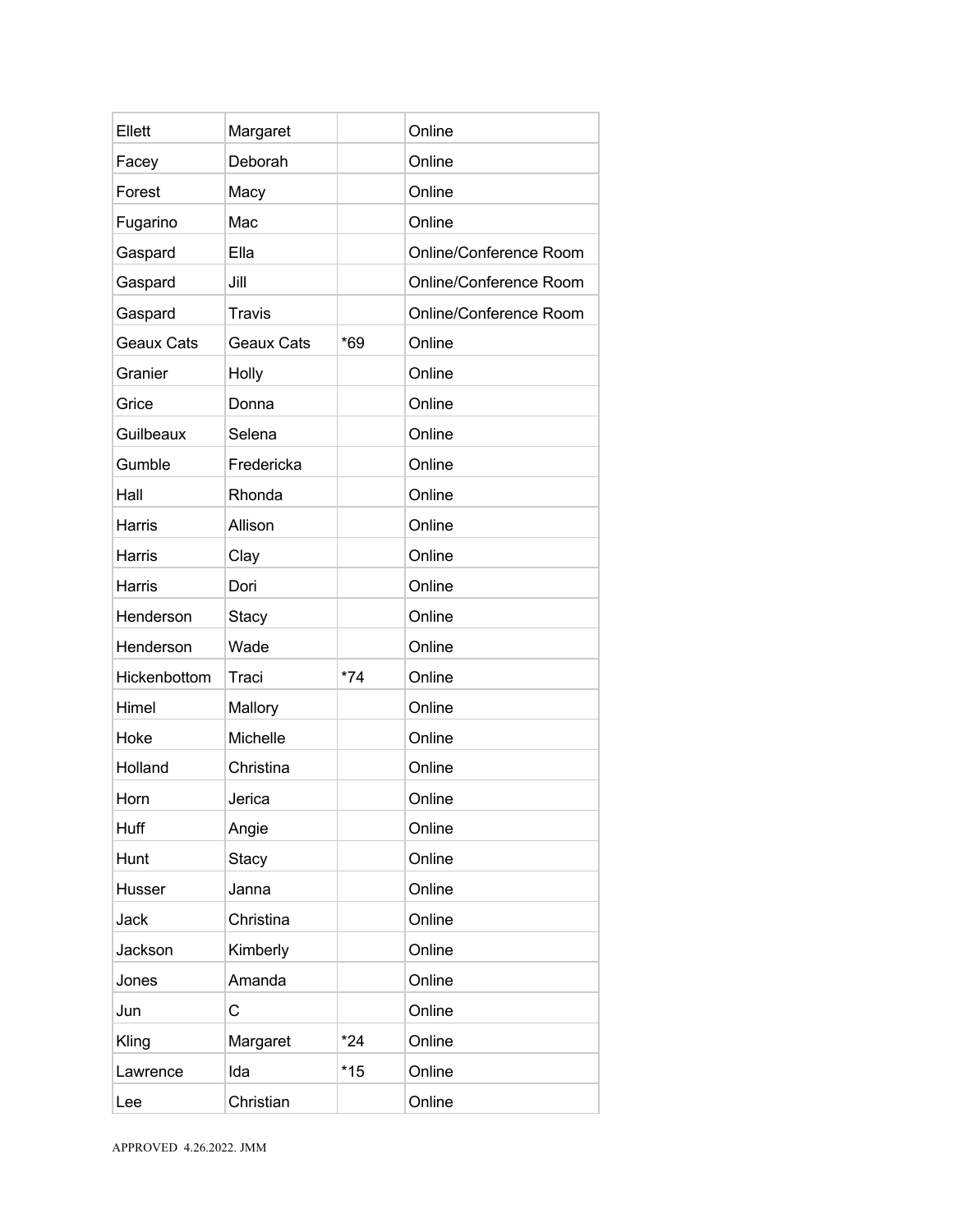| Ellett            | Margaret          |       | Online                 |
|-------------------|-------------------|-------|------------------------|
| Facey             | Deborah           |       | Online                 |
| Forest            | Macy              |       | Online                 |
| Fugarino          | Mac               |       | Online                 |
| Gaspard           | Ella              |       | Online/Conference Room |
| Gaspard           | Jill              |       | Online/Conference Room |
| Gaspard           | <b>Travis</b>     |       | Online/Conference Room |
| <b>Geaux Cats</b> | <b>Geaux Cats</b> | $*69$ | Online                 |
| Granier           | Holly             |       | Online                 |
| Grice             | Donna             |       | Online                 |
| Guilbeaux         | Selena            |       | Online                 |
| Gumble            | Fredericka        |       | Online                 |
| Hall              | Rhonda            |       | Online                 |
| <b>Harris</b>     | Allison           |       | Online                 |
| Harris            | Clay              |       | Online                 |
| Harris            | Dori              |       | Online                 |
| Henderson         | <b>Stacy</b>      |       | Online                 |
| Henderson         | Wade              |       | Online                 |
| Hickenbottom      | Traci             | $*74$ | Online                 |
| Himel             | Mallory           |       | Online                 |
| Hoke              | Michelle          |       | Online                 |
| Holland           | Christina         |       | Online                 |
| Horn              | Jerica            |       | Online                 |
| Huff              | Angie             |       | Online                 |
| Hunt              | <b>Stacy</b>      |       | Online                 |
| Husser            | Janna             |       | Online                 |
| Jack              | Christina         |       | Online                 |
| Jackson           | Kimberly          |       | Online                 |
| Jones             | Amanda            |       | Online                 |
| Jun               | C                 |       | Online                 |
| Kling             | Margaret          | $*24$ | Online                 |
| Lawrence          | Ida               | $*15$ | Online                 |
| Lee               | Christian         |       | Online                 |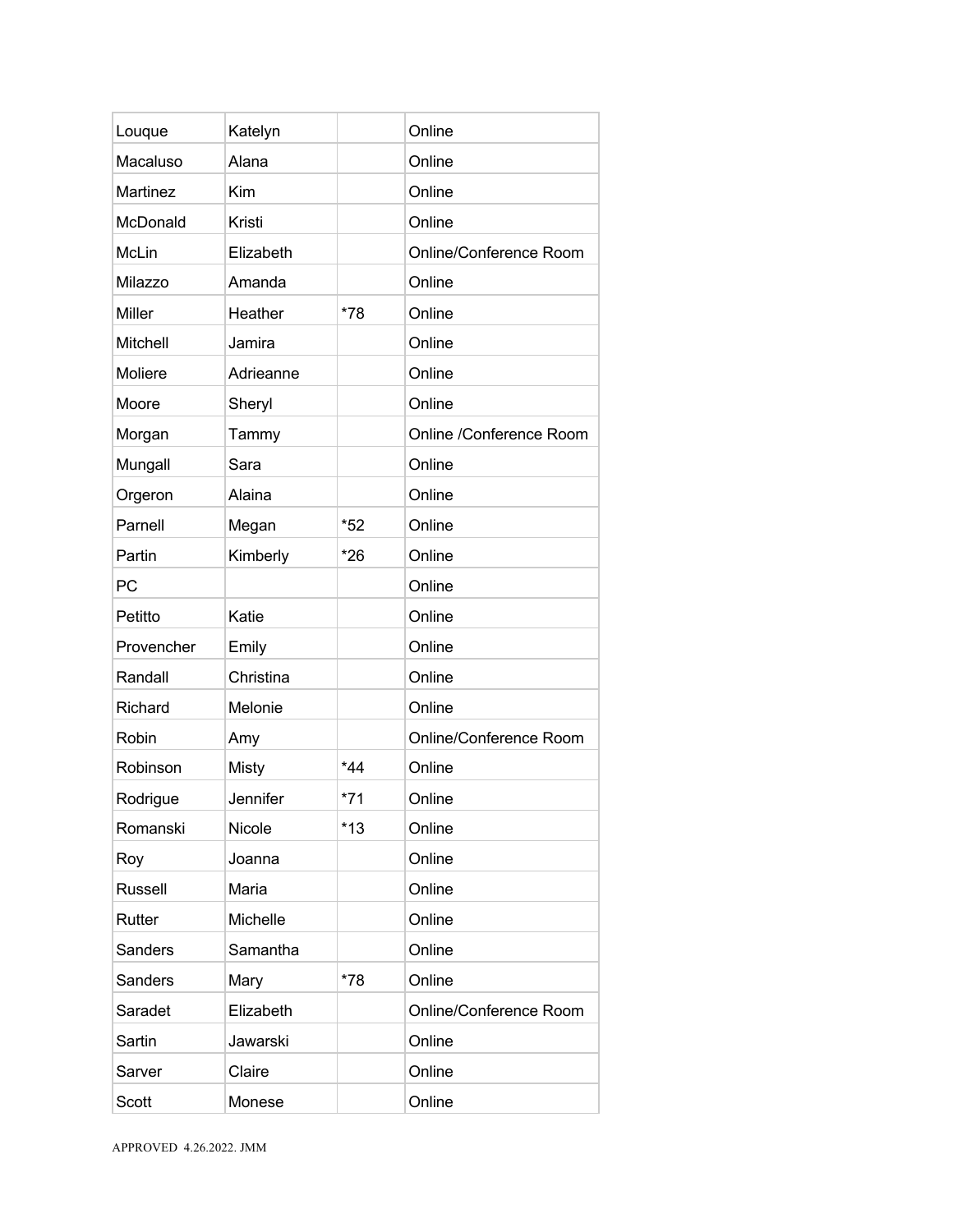| Louque         | Katelyn   |       | Online                  |
|----------------|-----------|-------|-------------------------|
| Macaluso       | Alana     |       | Online                  |
| Martinez       | Kim       |       | Online                  |
| McDonald       | Kristi    |       | Online                  |
| McLin          | Elizabeth |       | Online/Conference Room  |
| Milazzo        | Amanda    |       | Online                  |
| Miller         | Heather   | *78   | Online                  |
| Mitchell       | Jamira    |       | Online                  |
| Moliere        | Adrieanne |       | Online                  |
| Moore          | Sheryl    |       | Online                  |
| Morgan         | Tammy     |       | Online /Conference Room |
| Mungall        | Sara      |       | Online                  |
| Orgeron        | Alaina    |       | Online                  |
| Parnell        | Megan     | $*52$ | Online                  |
| Partin         | Kimberly  | $*26$ | Online                  |
| PC             |           |       | Online                  |
| Petitto        | Katie     |       | Online                  |
| Provencher     | Emily     |       | Online                  |
| Randall        | Christina |       | Online                  |
| Richard        | Melonie   |       | Online                  |
| Robin          | Amy       |       | Online/Conference Room  |
| Robinson       | Misty     | $*44$ | Online                  |
| Rodrigue       | Jennifer  | $*71$ | Online                  |
| Romanski       | Nicole    | $*13$ | Online                  |
| Roy            | Joanna    |       | Online                  |
| <b>Russell</b> | Maria     |       | Online                  |
| Rutter         | Michelle  |       | Online                  |
| <b>Sanders</b> | Samantha  |       | Online                  |
| Sanders        | Mary      | *78   | Online                  |
| Saradet        | Elizabeth |       | Online/Conference Room  |
| Sartin         | Jawarski  |       | Online                  |
| Sarver         | Claire    |       | Online                  |
| <b>Scott</b>   | Monese    |       | Online                  |